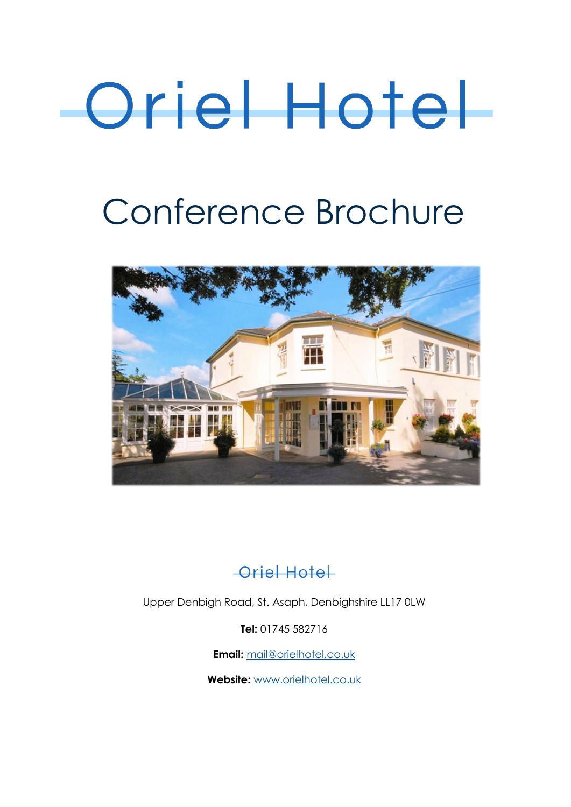# Oriel Hotel

# Conference Brochure



#### Oriel Hotel

Upper Denbigh Road, St. Asaph, Denbighshire LL17 0LW

**Tel:** 01745 582716

**Email:** [mail@orielhotel.co.uk](mailto:mail@theorielhotel.com) 

**Website:** [www.orielhotel.co.uk](http://www.theorielhotel.com)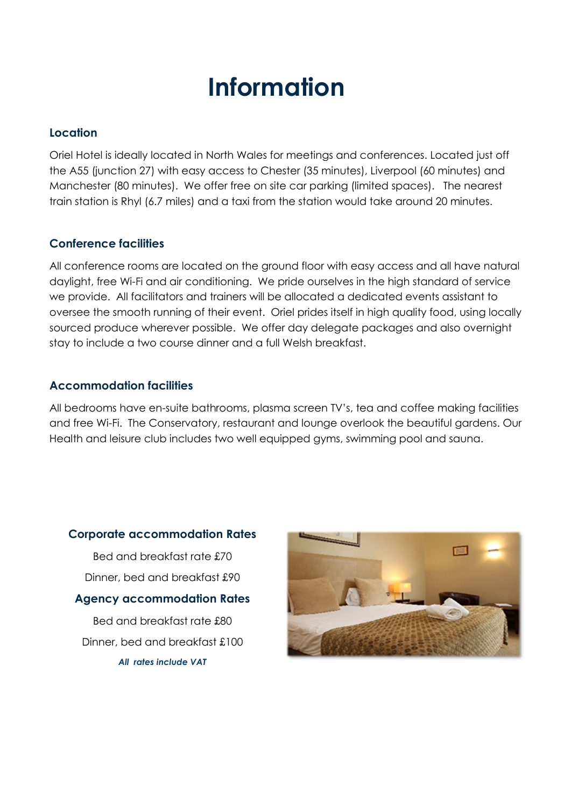# **Information**

#### **Location**

Oriel Hotel is ideally located in North Wales for meetings and conferences. Located just off the A55 (junction 27) with easy access to Chester (35 minutes), Liverpool (60 minutes) and Manchester (80 minutes). We offer free on site car parking (limited spaces). The nearest train station is Rhyl (6.7 miles) and a taxi from the station would take around 20 minutes.

#### **Conference facilities**

All conference rooms are located on the ground floor with easy access and all have natural daylight, free Wi-Fi and air conditioning. We pride ourselves in the high standard of service we provide. All facilitators and trainers will be allocated a dedicated events assistant to oversee the smooth running of their event. Oriel prides itself in high quality food, using locally sourced produce wherever possible. We offer day delegate packages and also overnight stay to include a two course dinner and a full Welsh breakfast.

#### **Accommodation facilities**

All bedrooms have en-suite bathrooms, plasma screen TV's, tea and coffee making facilities and free Wi-Fi. The Conservatory, restaurant and lounge overlook the beautiful gardens. Our Health and leisure club includes two well equipped gyms, swimming pool and sauna.

#### **Corporate accommodation Rates**

Bed and breakfast rate £70 Dinner, bed and breakfast £90

**Agency accommodation Rates**

Bed and breakfast rate £80 Dinner, bed and breakfast £100 *All rates include VAT*

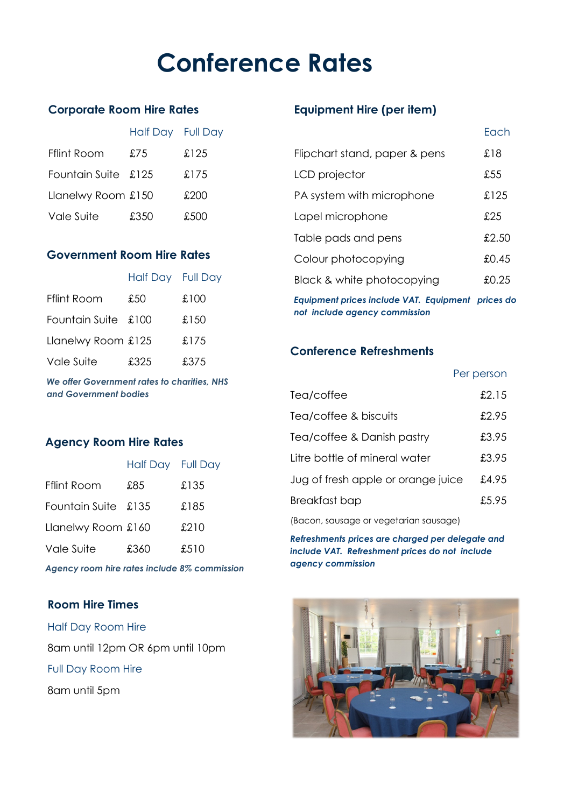# **Conference Rates**

#### **Corporate Room Hire Rates**

|                     | Half Day Full Day |       |
|---------------------|-------------------|-------|
| Fflint Room         | £75               | £125  |
| Fountain Suite £125 |                   | £175  |
| Llanelwy Room £150  |                   | £200  |
| Vale Suite          | £350              | £.500 |

#### **Government Room Hire Rates**

|                     | Half Day Full Day |      |
|---------------------|-------------------|------|
| <b>Fflint Room</b>  | £50               | £100 |
| Fountain Suite £100 |                   | £150 |
| Llanelwy Room £125  |                   | £175 |
| Vale Suite          | £325              | £375 |

*We offer Government rates to charities, NHS and Government bodies*

#### **Agency Room Hire Rates**

|                     | Half Day Full Day |      |
|---------------------|-------------------|------|
| <b>Fflint Room</b>  | £85               | £135 |
| Fountain Suite £135 |                   | £185 |
| Llanelwy Room £160  |                   | £210 |
| Vale Suite          | £360              | £510 |

*Agency room hire rates include 8% commission*

#### **Room Hire Times**

Half Day Room Hire 8am until 12pm OR 6pm until 10pm Full Day Room Hire 8am until 5pm

#### **Equipment Hire (per item)**

|                                                | Fach      |
|------------------------------------------------|-----------|
| Flipchart stand, paper & pens                  | £18       |
| LCD projector                                  | £55.      |
| PA system with microphone                      | £125      |
| Lapel microphone                               | £25       |
| Table pads and pens                            | £2.50     |
| Colour photocopying                            | £0.45     |
| Black & white photocopying                     | £0.25     |
| <b>Equipment prices include VAT. Equipment</b> | prices do |

*not include agency commission*

#### **Conference Refreshments**

|                                        | Per person |
|----------------------------------------|------------|
| Tea/coffee                             | £2.15      |
| Tea/coffee & biscuits                  | £2.95      |
| Tea/coffee & Danish pastry             | £3.95      |
| Litre bottle of mineral water          | £3.95      |
| Jug of fresh apple or orange juice     | £4.95      |
| Breakfast bap                          | £5.95      |
| (Bacon, sausage or vegetarian sausage) |            |

*Refreshments prices are charged per delegate and include VAT. Refreshment prices do not include agency commission*

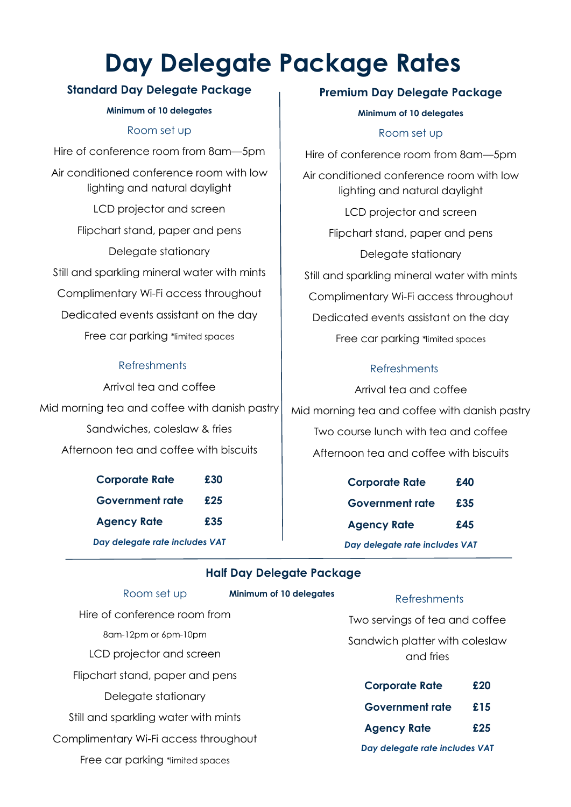# **Day Delegate Package Rates**

#### **Standard Day Delegate Package**

#### **Minimum of 10 delegates**

#### Room set up

Hire of conference room from 8am—5pm Air conditioned conference room with low lighting and natural daylight LCD projector and screen Flipchart stand, paper and pens Delegate stationary Still and sparkling mineral water with mints Complimentary Wi-Fi access throughout Dedicated events assistant on the day Free car parking \*limited spaces

#### Refreshments

Arrival tea and coffee Mid morning tea and coffee with danish pastry Sandwiches, coleslaw & fries Afternoon tea and coffee with biscuits

> **Corporate Rate £30 Government rate £25 Agency Rate £35** *Day delegate rate includes VAT*

#### **Premium Day Delegate Package**

#### **Minimum of 10 delegates**

#### Room set up

Hire of conference room from 8am—5pm Air conditioned conference room with low lighting and natural daylight LCD projector and screen Flipchart stand, paper and pens Delegate stationary Still and sparkling mineral water with mints Complimentary Wi-Fi access throughout Dedicated events assistant on the day Free car parking \*limited spaces

#### **Refreshments**

Arrival tea and coffee Mid morning tea and coffee with danish pastry Two course lunch with tea and coffee Afternoon tea and coffee with biscuits

| <b>Corporate Rate</b>          | £40 |
|--------------------------------|-----|
| <b>Government rate</b>         | £35 |
| <b>Agency Rate</b>             | £45 |
| Day delegate rate includes VAT |     |

#### **Half Day Delegate Package**

**Minimum of 10 delegates**

#### Room set up

Hire of conference room from 8am-12pm or 6pm-10pm LCD projector and screen Flipchart stand, paper and pens Delegate stationary Still and sparkling water with mints Complimentary Wi-Fi access throughout

Free car parking \*limited spaces

#### Refreshments

Two servings of tea and coffee

Sandwich platter with coleslaw and fries

| <b>Corporate Rate</b>          | £20 |
|--------------------------------|-----|
| <b>Government rate</b>         | £15 |
| <b>Agency Rate</b>             | £25 |
| Day delegate rate includes VAT |     |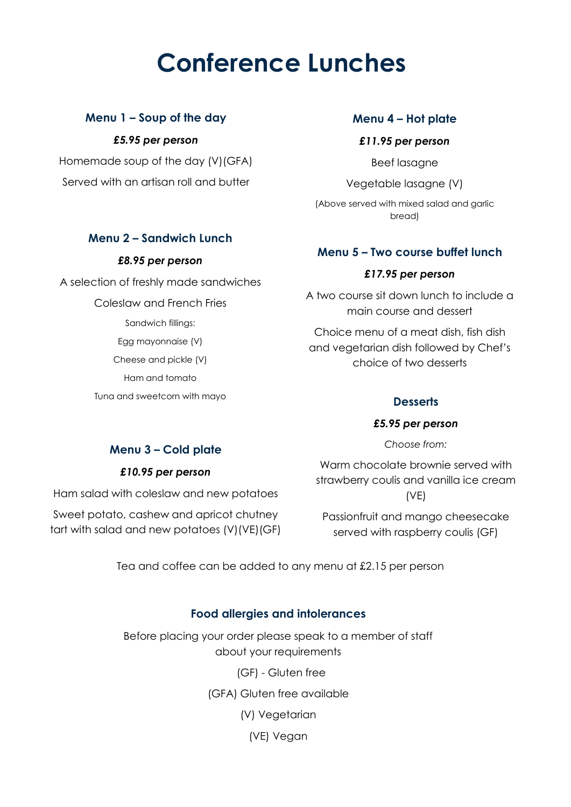# **Conference Lunches**

### **Menu 1 – Soup of the day**

*£5.95 per person*

Homemade soup of the day (V)(GFA) Served with an artisan roll and butter

**Menu 2 – Sandwich Lunch**

*£8.95 per person*

A selection of freshly made sandwiches

Coleslaw and French Fries

Sandwich fillings: Egg mayonnaise (V) Cheese and pickle (V) Ham and tomato Tuna and sweetcorn with mayo

#### **Menu 4 – Hot plate**

#### *£11.95 per person*

Beef lasagne

Vegetable lasagne (V) (Above served with mixed salad and garlic bread)

#### **Menu 5 – Two course buffet lunch**

#### *£17.95 per person*

A two course sit down lunch to include a main course and dessert

Choice menu of a meat dish, fish dish and vegetarian dish followed by Chef's choice of two desserts

#### **Desserts**

#### *£5.95 per person*

*Choose from:*

#### Warm chocolate brownie served with strawberry coulis and vanilla ice cream (VE)

Passionfruit and mango cheesecake served with raspberry coulis (GF)

Tea and coffee can be added to any menu at £2.15 per person

#### **Food allergies and intolerances**

Before placing your order please speak to a member of staff about your requirements

(GF) - Gluten free

(GFA) Gluten free available

(V) Vegetarian

(VE) Vegan

#### **Menu 3 – Cold plate**

#### *£10.95 per person*

Ham salad with coleslaw and new potatoes

Sweet potato, cashew and apricot chutney tart with salad and new potatoes (V)(VE)(GF)